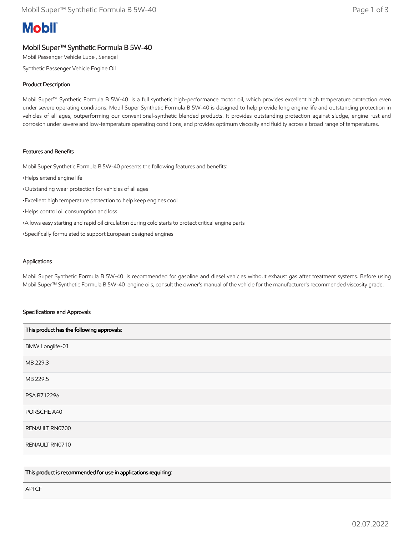# **Mobil**

# Mobil Super™ Synthetic Formula B 5W-40

Mobil Passenger Vehicle Lube , Senegal

Synthetic Passenger Vehicle Engine Oil

# Product Description

Mobil Super™ Synthetic Formula B 5W-40 is a full synthetic high-performance motor oil, which provides excellent high temperature protection even under severe operating conditions. Mobil Super Synthetic Formula B 5W-40 is designed to help provide long engine life and outstanding protection in vehicles of all ages, outperforming our conventional-synthetic blended products. It provides outstanding protection against sludge, engine rust and corrosion under severe and low-temperature operating conditions, and provides optimum viscosity and fluidity across a broad range of temperatures.

## Features and Benefits

Mobil Super Synthetic Formula B 5W-40 presents the following features and benefits:

- •Helps extend engine life
- •Outstanding wear protection for vehicles of all ages
- •Excellent high temperature protection to help keep engines cool
- •Helps control oil consumption and loss
- •Allows easy starting and rapid oil circulation during cold starts to protect critical engine parts
- •Specifically formulated to support European designed engines

### **Applications**

Mobil Super Synthetic Formula B 5W-40 is recommended for gasoline and diesel vehicles without exhaust gas after treatment systems. Before using Mobil Super™ Synthetic Formula B 5W-40 engine oils, consult the owner's manual of the vehicle for the manufacturer's recommended viscosity grade.

### Specifications and Approvals

| This product has the following approvals: |  |
|-------------------------------------------|--|
| BMW Longlife-01                           |  |
| MB 229.3                                  |  |
| MB 229.5                                  |  |
| PSA B712296                               |  |
| PORSCHE A40                               |  |
| RENAULT RN0700                            |  |
| RENAULT RN0710                            |  |

This product is recommended for use in applications requiring:

API CF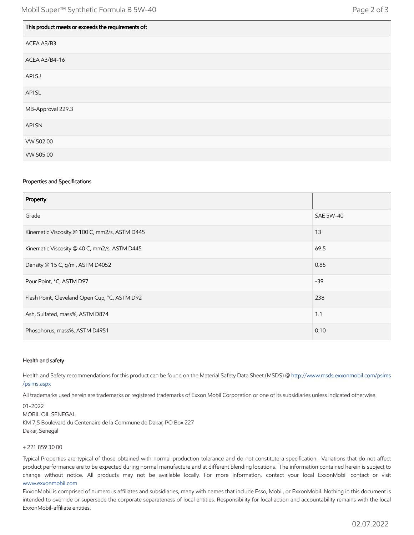| This product meets or exceeds the requirements of: |
|----------------------------------------------------|
| ACEA A3/B3                                         |
| ACEA A3/B4-16                                      |
| API SJ                                             |
| API SL                                             |
| MB-Approval 229.3                                  |
| <b>API SN</b>                                      |
| VW 502 00                                          |
| VW 505 00                                          |

#### Properties and Specifications

| Property                                      |                  |
|-----------------------------------------------|------------------|
| Grade                                         | <b>SAE 5W-40</b> |
| Kinematic Viscosity @ 100 C, mm2/s, ASTM D445 | 13               |
| Kinematic Viscosity @ 40 C, mm2/s, ASTM D445  | 69.5             |
| Density @ 15 C, g/ml, ASTM D4052              | 0.85             |
| Pour Point, °C, ASTM D97                      | $-39$            |
| Flash Point, Cleveland Open Cup, °C, ASTM D92 | 238              |
| Ash, Sulfated, mass%, ASTM D874               | 1.1              |
| Phosphorus, mass%, ASTM D4951                 | 0.10             |

#### Health and safety

Health and Safety recommendations for this product can be found on the Material Safety Data Sheet (MSDS) @ [http://www.msds.exxonmobil.com/psims](http://www.msds.exxonmobil.com/psims/psims.aspx) /psims.aspx

All trademarks used herein are trademarks or registered trademarks of Exxon Mobil Corporation or one of its subsidiaries unless indicated otherwise.

01-2022 MOBIL OIL SENEGAL KM 7,5 Boulevard du Centenaire de la Commune de Dakar, PO Box 227 Dakar, Senegal

#### + 221 859 30 00

Typical Properties are typical of those obtained with normal production tolerance and do not constitute a specification. Variations that do not affect product performance are to be expected during normal manufacture and at different blending locations. The information contained herein is subject to change without notice. All products may not be available locally. For more information, contact your local ExxonMobil contact or visit [www.exxonmobil.com](http://www.exxonmobil.com/)

ExxonMobil is comprised of numerous affiliates and subsidiaries, many with names that include Esso, Mobil, or ExxonMobil. Nothing in this document is intended to override or supersede the corporate separateness of local entities. Responsibility for local action and accountability remains with the local ExxonMobil-affiliate entities.